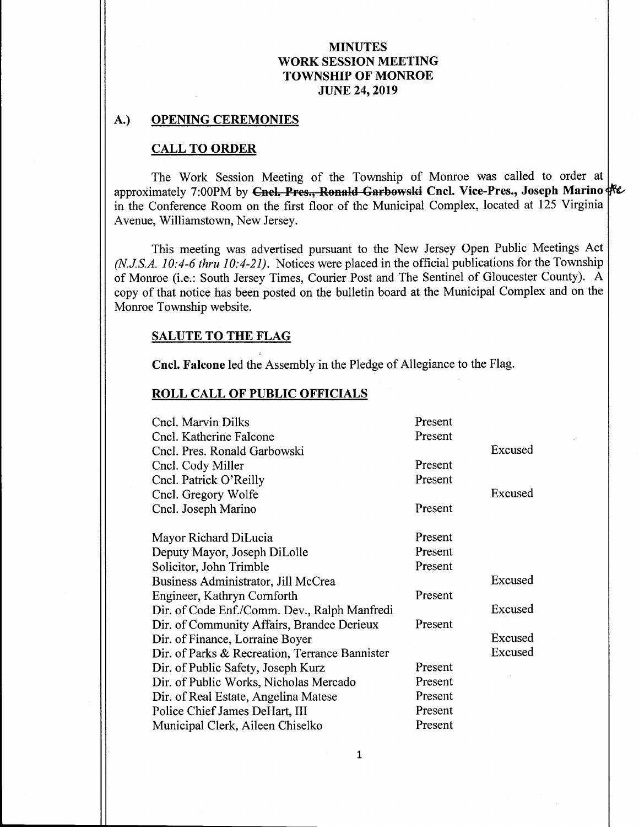### A.) OPENING CEREMONIES

#### CALL TO ORDER

The Work Session Meeting of the Township of Monroe was called to order at approximately 7:00PM by Cnel. Pres., Ronald Garbowski Cncl. Vice-Pres., Joseph Marino Fe in the Conference Room on the first floor of the Municipal Complex, located at <sup>125</sup> Virginia Avenue, Williamstown, New Jersey.

This meeting was advertised pursuant to the New Jersey Open Public Meetings Act  $(N.J.S.A. 10: 4-6$  thru 10: 4-21). Notices were placed in the official publications for the Township of Monroe (i.e.: South Jersey Times, Courier Post and The Sentinel of Gloucester County). A copy of that notice has been posted on the bulletin board at the Municipal Complex and on the Monroe Township website.

#### SALUTE TO THE FLAG

Cncl. Falcone led the Assembly in the Pledge of Allegiance to the Flag.

#### ROLL CALL OF PUBLIC OFFICIALS

| Cncl. Marvin Dilks                             | Present |         |
|------------------------------------------------|---------|---------|
| Cncl. Katherine Falcone                        | Present |         |
| Cncl. Pres. Ronald Garbowski                   |         | Excused |
| Cncl. Cody Miller                              | Present |         |
| Cncl. Patrick O'Reilly                         | Present |         |
| Cncl. Gregory Wolfe                            |         | Excused |
| Cncl. Joseph Marino                            | Present |         |
|                                                |         |         |
| Mayor Richard DiLucia                          | Present |         |
| Deputy Mayor, Joseph DiLolle                   | Present |         |
| Solicitor, John Trimble                        | Present |         |
| Business Administrator, Jill McCrea            |         | Excused |
| Engineer, Kathryn Cornforth                    | Present |         |
| Dir. of Code Enf./Comm. Dev., Ralph Manfredi   |         | Excused |
| Dir. of Community Affairs, Brandee Derieux     | Present |         |
| Dir. of Finance, Lorraine Boyer                |         | Excused |
| Dir. of Parks & Recreation, Terrance Bannister |         | Excused |
| Dir. of Public Safety, Joseph Kurz             | Present |         |
| Dir. of Public Works, Nicholas Mercado         | Present |         |
| Dir. of Real Estate, Angelina Matese           | Present |         |
| Police Chief James DeHart, III                 | Present |         |
| Municipal Clerk, Aileen Chiselko               | Present |         |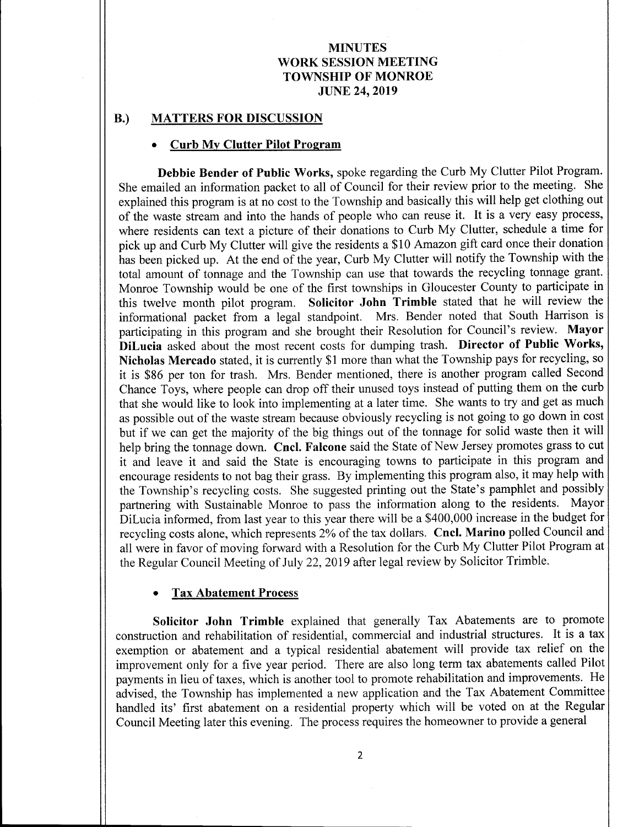### B.) MATTERS FOR DISCUSSION

#### Curb My Clutter Pilot Program

Debbie Bender of Public Works, spoke regarding the Curb My Clutter Pilot Program. She emailed an information packet to all of Council for their review prior to the meeting. She explained this program is at no cost to the Township and basically this will help get clothing out of the waste stream and into the hands of people who can reuse it. It is <sup>a</sup> very easy process, where residents can text a picture of their donations to Curb My Clutter, schedule a time for pick up and Curb My Clutter will give the residents a \$ <sup>10</sup> Amazon gift card once their donation has been picked up. At the end of the year, Curb My Clutter will notify the Township with the total amount of tonnage and the Township can use that towards the recycling tonnage grant. Monroe Township would be one of the first townships in Gloucester County to participate in this twelve month pilot program. Solicitor John Trimble stated that he will review the informational packet from <sup>a</sup> legal standpoint. Mrs. Bender noted that South Harrison is participating in this program and she brought their Resolution for Council's review. Mayor DiLucia asked about the most recent costs for dumping trash. Director of Public Works, Nicholas Mercado stated, it is currently \$1 more than what the Township pays for recycling, so it is \$ 86 per ton for trash. Mrs. Bender mentioned, there is another program called Second Chance Toys, where people can drop off their unused toys instead of putting them on the curb that she would like to look into implementing at <sup>a</sup> later time. She wants to try and get as much as possible out of the waste stream because obviously recycling is not going to go down in cost but if we can get the majority of the big things out of the tonnage for solid waste then it will help bring the tonnage down. Cncl. Falcone said the State of New Jersey promotes grass to cut it and leave it and said the State is encouraging towns to participate in this program and encourage residents to not bag their grass. By implementing this program also, it may help with the Township's recycling costs. She suggested printing out the State's pamphlet and possibly partnering with Sustainable Monroe to pass the information along to the residents. Mayor DiLucia informed, from last year to this year there will be a \$ 400,000 increase in the budget for recycling costs alone, which represents 2% of the tax dollars. Cncl. Marino polled Council and all were in favor of moving forward with a Resolution for the Curb My Clutter Pilot Program at the Regular Council Meeting of July 22, 2019 after legal review by Solicitor Trimble.

# Tax Abatement Process

Solicitor John Trimble explained that generally Tax Abatements are to promote construction and rehabilitation of residential, commercial and industrial structures. It is <sup>a</sup> tax exemption or abatement and <sup>a</sup> typical residential abatement will provide tax relief on the improvement only for <sup>a</sup> five year period. There are also long term tax abatements called Pilot payments in lieu of taxes, which is another tool to promote rehabilitation and improvements. He advised, the Township has implemented a new application and the Tax Abatement Committee handled its' first abatement on <sup>a</sup> residential property which will be voted on at the Regular Council Meeting later this evening. The process requires the homeowner to provide a general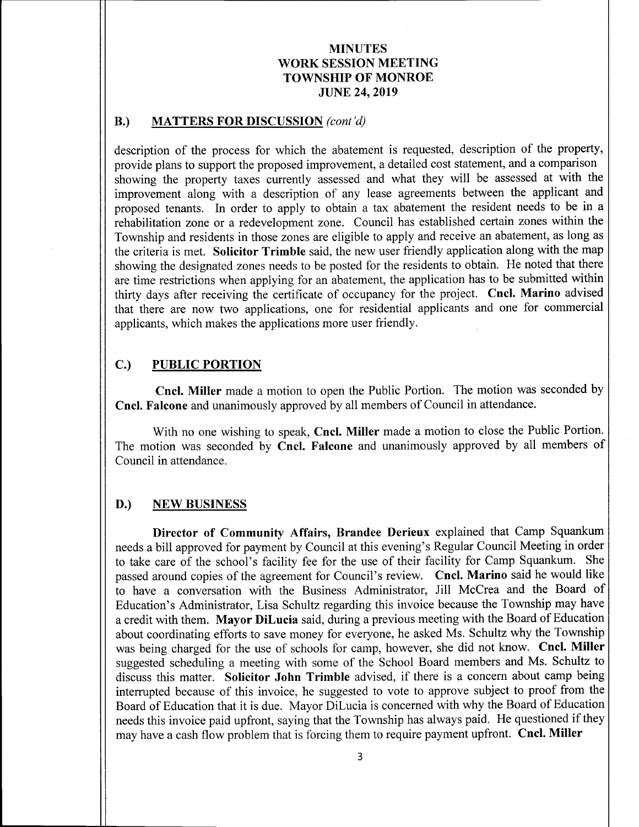### B.) MATTERS FOR DISCUSSION (cont'd)

description of the process for which the abatement is requested, description of the property, provide plans to support the proposed improvement, a detailed cost statement, and a comparison showing the property taxes currently assessed and what they will be assessed at with the improvement along with a description of any lease agreements between the applicant and proposed tenants. In order to apply to obtain <sup>a</sup> tax abatement the resident needs to be in a rehabilitation zone or a redevelopment zone. Council has established certain zones within the Township and residents in those zones are eligible to apply and receive an abatement, as long as the criteria is met. Solicitor Trimble said, the new user friendly application along with the map showing the designated zones needs to be posted for the residents to obtain. He noted that there are time restrictions when applying for an abatement, the application has to be submitted within thirty days after receiving the certificate of occupancy for the project. Cncl. Marino advised that there are now two applications, one for residential applicants and one for commercial applicants, which makes the applications more user friendly.

# C.) PUBLIC PORTION

Cncl. Miller made <sup>a</sup> motion to open the Public Portion. The motion was seconded by Cncl. Falcone and unanimously approved by all members of Council in attendance.

With no one wishing to speak, Cncl. Miller made <sup>a</sup> motion to close the Public Portion. The motion was seconded by Cncl. Falcone and unanimously approved by all members of Council in attendance.

#### D.) NEW BUSINESS

Director of Community Affairs, Brandee Derieux explained that Camp Squankum needs <sup>a</sup> bill approved for payment by Council at this evening' <sup>s</sup> Regular Council Meeting in order to take care of the school's facility fee for the use of their facility for Camp Squankum. She passed around copies of the agreement for Council's review. Cncl. Marino said he would like to have <sup>a</sup> conversation with the Business Administrator, Jill McCrea and the Board of Education's Administrator, Lisa Schultz regarding this invoice because the Township may have <sup>a</sup> credit with them. Mayor DiLucia said, during a previous meeting with the Board of Education about coordinating efforts to save money for everyone, he asked Ms. Schultz why the Township was being charged for the use of schools for camp, however, she did not know. Cncl. Miller suggested scheduling a meeting with some of the School Board members and Ms. Schultz to discuss this matter. Solicitor John Trimble advised, if there is <sup>a</sup> concern about camp being interrupted because of this invoice, he suggested to vote to approve subject to proof from the Board of Education that it is due. Mayor DiLucia is concerned with why the Board of Education needs this invoice paid upfront, saying that the Township has always paid. He questioned if they may have <sup>a</sup> cash flow problem that is forcing them to require payment upfront. Cncl. Miller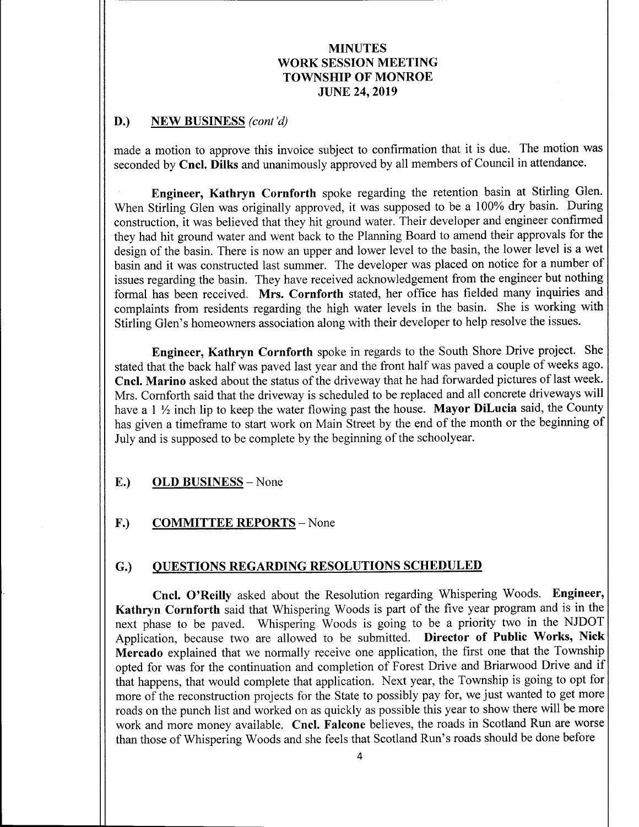### D.) NEW BUSINESS (cont'd)

made <sup>a</sup> motion to approve this invoice subject to confirmation that it is due. The motion was seconded by Cncl. Dilks and unanimously approved by all members of Council in attendance.

Engineer, Kathryn Cornforth spoke regarding the retention basin at Stirling Glen. When Stirling Glen was originally approved, it was supposed to be <sup>a</sup> 100% dry basin. During construction, it was believed that they hit ground water. Their developer and engineer confirmed they had hit ground water and went back to the Planning Board to amend their approvals for the design of the basin. There is now an upper and lower level to the basin, the lower level is <sup>a</sup> wet basin and it was constructed last summer. The developer was placed on notice for <sup>a</sup> number of issues regarding the basin. They have received acknowledgement from the engineer but nothing formal has been received. Mrs. Cornforth stated, her office has fielded many inquiries and complaints from residents regarding the high water levels in the basin. She is working with Stirling Glen's homeowners association along with their developer to help resolve the issues.

Engineer, Kathryn Cornforth spoke in regards to the South Shore Drive project. She stated that the back half was paved last year and the front half was paved <sup>a</sup> couple of weeks ago. Cncl. Marino asked about the status of the driveway that he had forwarded pictures of last week. Mrs. Cornforth said that the driveway is scheduled to be replaced and all concrete driveways will have a 1  $\frac{1}{2}$  inch lip to keep the water flowing past the house. Mayor DiLucia said, the County has given a timeframe to start work on Main Street by the end of the month or the beginning of July and is supposed to be complete by the beginning of the schoolyear.

### E.) OLD BUSINESS— None

# F.) COMMITTEE REPORTS - None

### G.) QUESTIONS REGARDING RESOLUTIONS SCHEDULED

Cncl. O'Reilly asked about the Resolution regarding Whispering Woods. Engineer, Kathryn Cornforth said that Whispering Woods is part of the five year program and is in the next phase to be paved. Whispering Woods is going to be a priority two in the NJDOT Application, because two are allowed to be submitted. Director of Public Works, Nick Mercado explained that we normally receive one application, the first one that the Township opted for was for the continuation and completion of Forest Drive and Briarwood Drive and if that happens, that would complete that application. Next year, the Township is going to opt for more of the reconstruction projects for the State to possibly pay for, we just wanted to get more roads on the punch list and worked on as quickly as possible this year to show there will be more work and more money available. Cncl. Falcone believes, the roads in Scotland Run are worse than those of Whispering Woods and she feels that Scotland Run's roads should be done before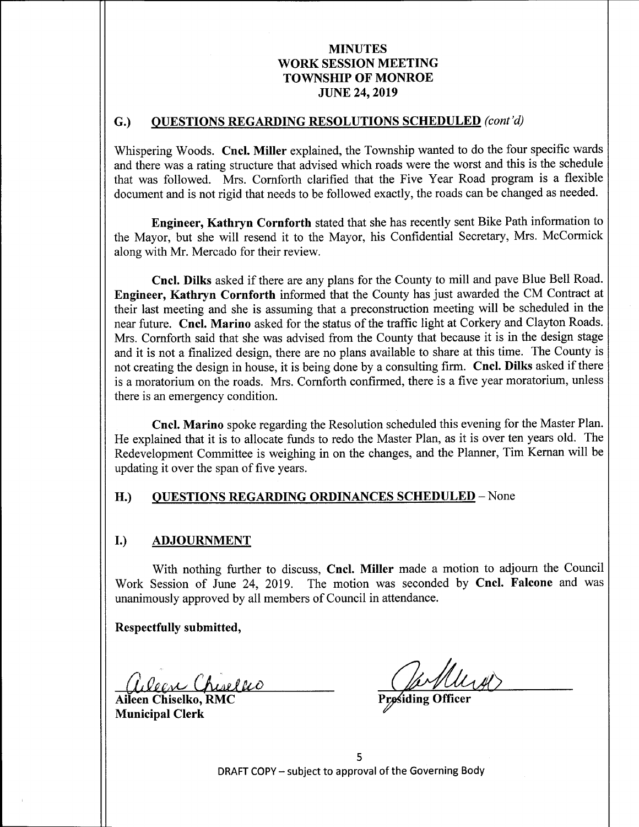### G.) OUESTIONS REGARDING RESOLUTIONS SCHEDULED (cont'd)

Whispering Woods. Cncl. Miller explained, the Township wanted to do the four specific wards and there was a rating structure that advised which roads were the worst and this is the schedule that was followed. Mrs. Comforth clarified that the Five Year Road program is a flexible document and is not rigid that needs to be followed exactly, the roads can be changed as needed.

Engineer, Kathryn Cornforth stated that she has recently sent Bike Path information to the Mayor, but she will resend it to the Mayor, his Confidential Secretary, Mrs. McCormick along with Mr. Mercado for their review.

Cncl. Dilks asked if there are any plans for the County to mill and pave Blue Bell Road. Engineer, Kathryn Cornforth informed that the County has just awarded the CM Contract at their last meeting and she is assuming that <sup>a</sup> preconstruction meeting will be scheduled in the near future. Cncl. Marino asked for the status of the traffic light at Corkery and Clayton Roads. Mrs. Cornforth said that she was advised from the County that because it is in the design stage and it is not <sup>a</sup> finalized design, there are no plans available to share at this time. The County is not creating the design in house, it is being done by <sup>a</sup> consulting firm. Cncl. Dilks asked if there is <sup>a</sup> moratorium on the roads. Mrs. Comforth confirmed, there is a five year moratorium, unless there is an emergency condition.

Cncl. Marino spoke regarding the Resolution scheduled this evening for the Master Plan. He explained that it is to allocate funds to redo the Master Plan, as it is over ten years old. The Redevelopment Committee is weighing in on the changes, and the Planner, Tim Kernan will be updating it over the span of five years.

### H.) QUESTIONS REGARDING ORDINANCES SCHEDULED - None

#### I.) ADJOURNMENT

With nothing further to discuss, Cncl. Miller made a motion to adjourn the Council Work Session of June 24, 2019. The motion was seconded by Cncl. Falcone and was unanimously approved by all members of Council in attendance.

Respectfully submitted,

Aileen Chiselko, RMC Municipal Clerk

5 DRAFT COPY— subject to approval of the Governing Body